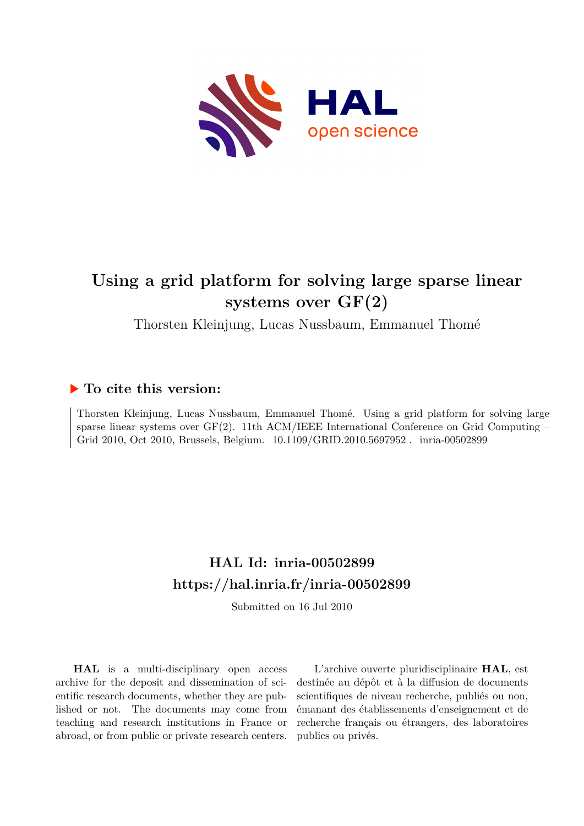

# **Using a grid platform for solving large sparse linear systems over GF(2)**

Thorsten Kleinjung, Lucas Nussbaum, Emmanuel Thomé

# **To cite this version:**

Thorsten Kleinjung, Lucas Nussbaum, Emmanuel Thomé. Using a grid platform for solving large sparse linear systems over  $GF(2)$ . 11th ACM/IEEE International Conference on Grid Computing – Grid 2010, Oct 2010, Brussels, Belgium.  $10.1109/GRID.2010.5697952$ . inria-00502899

# **HAL Id: inria-00502899 <https://hal.inria.fr/inria-00502899>**

Submitted on 16 Jul 2010

**HAL** is a multi-disciplinary open access archive for the deposit and dissemination of scientific research documents, whether they are published or not. The documents may come from teaching and research institutions in France or abroad, or from public or private research centers.

L'archive ouverte pluridisciplinaire **HAL**, est destinée au dépôt et à la diffusion de documents scientifiques de niveau recherche, publiés ou non, émanant des établissements d'enseignement et de recherche français ou étrangers, des laboratoires publics ou privés.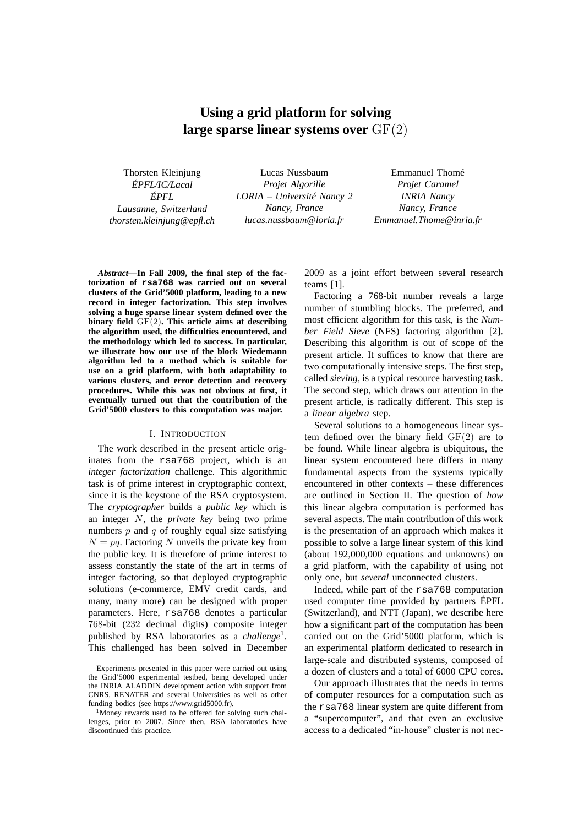# **Using a grid platform for solving large sparse linear systems over** GF(2)

Thorsten Kleinjung *ÉPFL/IC/Lacal ÉPFL Lausanne, Switzerland thorsten.kleinjung@epfl.ch*

Lucas Nussbaum *Projet Algorille LORIA – Université Nancy 2 Nancy, France lucas.nussbaum@loria.fr*

Emmanuel Thomé *Projet Caramel INRIA Nancy Nancy, France Emmanuel.Thome@inria.fr*

*Abstract***—In Fall 2009, the final step of the factorization of rsa768 was carried out on several clusters of the Grid'5000 platform, leading to a new record in integer factorization. This step involves solving a huge sparse linear system defined over the binary field** GF(2)**. This article aims at describing the algorithm used, the difficulties encountered, and the methodology which led to success. In particular, we illustrate how our use of the block Wiedemann algorithm led to a method which is suitable for use on a grid platform, with both adaptability to various clusters, and error detection and recovery procedures. While this was not obvious at first, it eventually turned out that the contribution of the Grid'5000 clusters to this computation was major.**

#### I. INTRODUCTION

The work described in the present article originates from the rsa768 project, which is an *integer factorization* challenge. This algorithmic task is of prime interest in cryptographic context, since it is the keystone of the RSA cryptosystem. The *cryptographer* builds a *public key* which is an integer N, the *private key* being two prime numbers  $p$  and  $q$  of roughly equal size satisfying  $N = pq$ . Factoring N unveils the private key from the public key. It is therefore of prime interest to assess constantly the state of the art in terms of integer factoring, so that deployed cryptographic solutions (e-commerce, EMV credit cards, and many, many more) can be designed with proper parameters. Here, rsa768 denotes a particular 768-bit (232 decimal digits) composite integer published by RSA laboratories as a *challenge*<sup>1</sup> . This challenged has been solved in December 2009 as a joint effort between several research teams [1].

Factoring a 768-bit number reveals a large number of stumbling blocks. The preferred, and most efficient algorithm for this task, is the *Number Field Sieve* (NFS) factoring algorithm [2]. Describing this algorithm is out of scope of the present article. It suffices to know that there are two computationally intensive steps. The first step, called *sieving*, is a typical resource harvesting task. The second step, which draws our attention in the present article, is radically different. This step is a *linear algebra* step.

Several solutions to a homogeneous linear system defined over the binary field GF(2) are to be found. While linear algebra is ubiquitous, the linear system encountered here differs in many fundamental aspects from the systems typically encountered in other contexts – these differences are outlined in Section II. The question of *how* this linear algebra computation is performed has several aspects. The main contribution of this work is the presentation of an approach which makes it possible to solve a large linear system of this kind (about 192,000,000 equations and unknowns) on a grid platform, with the capability of using not only one, but *several* unconnected clusters.

Indeed, while part of the rsa768 computation used computer time provided by partners ÉPFL (Switzerland), and NTT (Japan), we describe here how a significant part of the computation has been carried out on the Grid'5000 platform, which is an experimental platform dedicated to research in large-scale and distributed systems, composed of a dozen of clusters and a total of 6000 CPU cores.

Our approach illustrates that the needs in terms of computer resources for a computation such as the rsa768 linear system are quite different from a "supercomputer", and that even an exclusive access to a dedicated "in-house" cluster is not nec-

Experiments presented in this paper were carried out using the Grid'5000 experimental testbed, being developed under the INRIA ALADDIN development action with support from CNRS, RENATER and several Universities as well as other funding bodies (see https://www.grid5000.fr).

<sup>&</sup>lt;sup>1</sup>Money rewards used to be offered for solving such challenges, prior to 2007. Since then, RSA laboratories have discontinued this practice.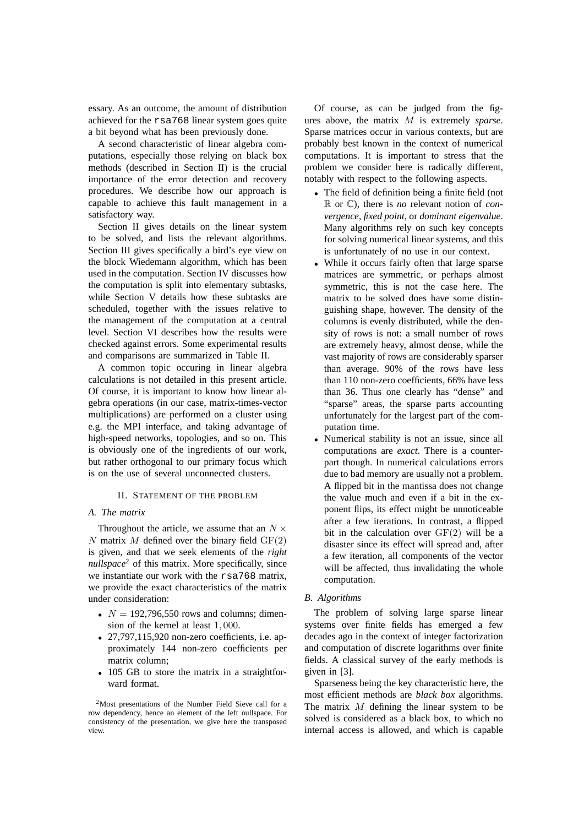essary. As an outcome, the amount of distribution achieved for the rsa768 linear system goes quite a bit beyond what has been previously done.

A second characteristic of linear algebra computations, especially those relying on black box methods (described in Section II) is the crucial importance of the error detection and recovery procedures. We describe how our approach is capable to achieve this fault management in a satisfactory way.

Section II gives details on the linear system to be solved, and lists the relevant algorithms. Section III gives specifically a bird's eye view on the block Wiedemann algorithm, which has been used in the computation. Section IV discusses how the computation is split into elementary subtasks, while Section V details how these subtasks are scheduled, together with the issues relative to the management of the computation at a central level. Section VI describes how the results were checked against errors. Some experimental results and comparisons are summarized in Table II.

A common topic occuring in linear algebra calculations is not detailed in this present article. Of course, it is important to know how linear algebra operations (in our case, matrix-times-vector multiplications) are performed on a cluster using e.g. the MPI interface, and taking advantage of high-speed networks, topologies, and so on. This is obviously one of the ingredients of our work, but rather orthogonal to our primary focus which is on the use of several unconnected clusters.

## II. STATEMENT OF THE PROBLEM

# *A. The matrix*

Throughout the article, we assume that an  $N \times$ N matrix M defined over the binary field  $GF(2)$ is given, and that we seek elements of the *right nullspace*<sup>2</sup> of this matrix. More specifically, since we instantiate our work with the rsa768 matrix, we provide the exact characteristics of the matrix under consideration:

- $N = 192,796,550$  rows and columns; dimension of the kernel at least 1, 000.
- 27,797,115,920 non-zero coefficients, i.e. approximately 144 non-zero coefficients per matrix column;
- 105 GB to store the matrix in a straightforward format.

Of course, as can be judged from the figures above, the matrix M is extremely *sparse*. Sparse matrices occur in various contexts, but are probably best known in the context of numerical computations. It is important to stress that the problem we consider here is radically different, notably with respect to the following aspects.

- The field of definition being a finite field (not R or C), there is *no* relevant notion of *convergence*, *fixed point*, or *dominant eigenvalue*. Many algorithms rely on such key concepts for solving numerical linear systems, and this is unfortunately of no use in our context.
- While it occurs fairly often that large sparse matrices are symmetric, or perhaps almost symmetric, this is not the case here. The matrix to be solved does have some distinguishing shape, however. The density of the columns is evenly distributed, while the density of rows is not: a small number of rows are extremely heavy, almost dense, while the vast majority of rows are considerably sparser than average. 90% of the rows have less than 110 non-zero coefficients, 66% have less than 36. Thus one clearly has "dense" and "sparse" areas, the sparse parts accounting unfortunately for the largest part of the computation time.
- Numerical stability is not an issue, since all computations are *exact*. There is a counterpart though. In numerical calculations errors due to bad memory are usually not a problem. A flipped bit in the mantissa does not change the value much and even if a bit in the exponent flips, its effect might be unnoticeable after a few iterations. In contrast, a flipped bit in the calculation over  $GF(2)$  will be a disaster since its effect will spread and, after a few iteration, all components of the vector will be affected, thus invalidating the whole computation.

#### *B. Algorithms*

The problem of solving large sparse linear systems over finite fields has emerged a few decades ago in the context of integer factorization and computation of discrete logarithms over finite fields. A classical survey of the early methods is given in [3].

Sparseness being the key characteristic here, the most efficient methods are *black box* algorithms. The matrix M defining the linear system to be solved is considered as a black box, to which no internal access is allowed, and which is capable

<sup>2</sup>Most presentations of the Number Field Sieve call for a row dependency, hence an element of the left nullspace. For consistency of the presentation, we give here the transposed view.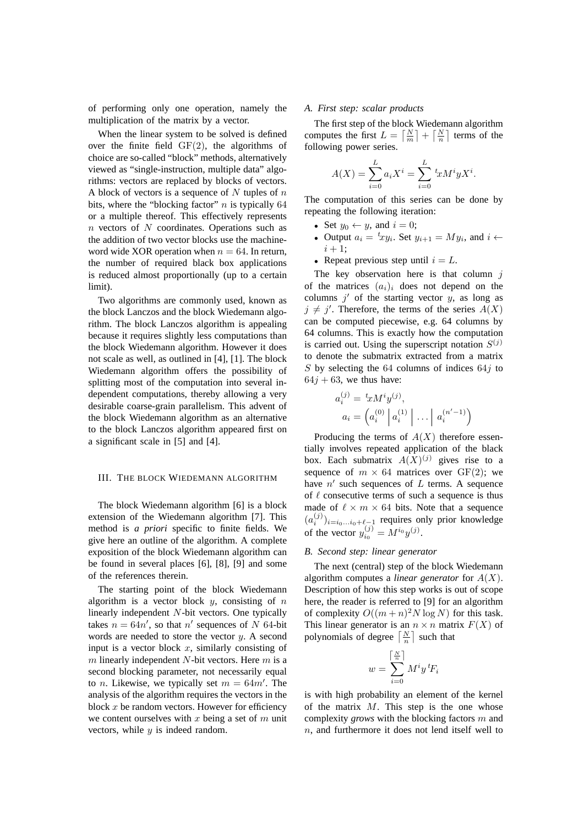of performing only one operation, namely the multiplication of the matrix by a vector.

When the linear system to be solved is defined over the finite field  $GF(2)$ , the algorithms of choice are so-called "block" methods, alternatively viewed as "single-instruction, multiple data" algorithms: vectors are replaced by blocks of vectors. A block of vectors is a sequence of  $N$  tuples of  $n$ bits, where the "blocking factor"  $n$  is typically 64 or a multiple thereof. This effectively represents n vectors of N coordinates. Operations such as the addition of two vector blocks use the machineword wide XOR operation when  $n = 64$ . In return, the number of required black box applications is reduced almost proportionally (up to a certain limit).

Two algorithms are commonly used, known as the block Lanczos and the block Wiedemann algorithm. The block Lanczos algorithm is appealing because it requires slightly less computations than the block Wiedemann algorithm. However it does not scale as well, as outlined in [4], [1]. The block Wiedemann algorithm offers the possibility of splitting most of the computation into several independent computations, thereby allowing a very desirable coarse-grain parallelism. This advent of the block Wiedemann algorithm as an alternative to the block Lanczos algorithm appeared first on a significant scale in [5] and [4].

### III. THE BLOCK WIEDEMANN ALGORITHM

The block Wiedemann algorithm [6] is a block extension of the Wiedemann algorithm [7]. This method is *a priori* specific to finite fields. We give here an outline of the algorithm. A complete exposition of the block Wiedemann algorithm can be found in several places [6], [8], [9] and some of the references therein.

The starting point of the block Wiedemann algorithm is a vector block  $y$ , consisting of  $n$ linearly independent N-bit vectors. One typically takes  $n = 64n'$ , so that n' sequences of N 64-bit words are needed to store the vector  $y$ . A second input is a vector block  $x$ , similarly consisting of  $m$  linearly independent  $N$ -bit vectors. Here  $m$  is a second blocking parameter, not necessarily equal to *n*. Likewise, we typically set  $m = 64m'$ . The analysis of the algorithm requires the vectors in the block  $x$  be random vectors. However for efficiency we content ourselves with x being a set of  $m$  unit vectors, while  $y$  is indeed random.

# *A. First step: scalar products*

The first step of the block Wiedemann algorithm computes the first  $L = \left\lceil \frac{N}{m} \right\rceil + \left\lceil \frac{N}{n} \right\rceil$  terms of the following power series.

$$
A(X) = \sum_{i=0}^{L} a_i X^i = \sum_{i=0}^{L} {}^{t}x M^i y X^i.
$$

The computation of this series can be done by repeating the following iteration:

- Set  $y_0 \leftarrow y$ , and  $i = 0$ ;
- Output  $a_i = {}^t xy_i$ . Set  $y_{i+1} = My_i$ , and  $i \leftarrow$  $i + 1;$
- Repeat previous step until  $i = L$ .

The key observation here is that column  $j$ of the matrices  $(a_i)_i$  does not depend on the columns  $j'$  of the starting vector  $y$ , as long as  $j \neq j'$ . Therefore, the terms of the series  $A(X)$ can be computed piecewise, e.g. 64 columns by 64 columns. This is exactly how the computation is carried out. Using the superscript notation  $S^{(j)}$ to denote the submatrix extracted from a matrix S by selecting the 64 columns of indices  $64j$  to  $64j + 63$ , we thus have:

$$
a_i^{(j)} = {^t x M^i y^{(j)}},
$$
  
\n
$$
a_i = \left(a_i^{(0)} \middle| a_i^{(1)} \middle| \dots \middle| a_i^{(n'-1)}\right)
$$

Producing the terms of  $A(X)$  therefore essentially involves repeated application of the black box. Each submatrix  $A(X)^{(j)}$  gives rise to a sequence of  $m \times 64$  matrices over GF(2); we have  $n'$  such sequences of  $L$  terms. A sequence of  $\ell$  consecutive terms of such a sequence is thus made of  $\ell \times m \times 64$  bits. Note that a sequence  $(a_i^{(j)})_{i=i_0...i_0+\ell-1}$  requires only prior knowledge of the vector  $y_{i_0}^{(j)} = M^{i_0} y^{(j)}$ .

## *B. Second step: linear generator*

The next (central) step of the block Wiedemann algorithm computes a *linear generator* for A(X). Description of how this step works is out of scope here, the reader is referred to [9] for an algorithm of complexity  $O((m+n)^2N \log N)$  for this task. This linear generator is an  $n \times n$  matrix  $F(X)$  of polynomials of degree  $\left\lceil \frac{N}{n} \right\rceil$  such that

$$
w = \sum_{i=0}^{\left\lceil \frac{N}{n} \right\rceil} M^i y^i F_i
$$

is with high probability an element of the kernel of the matrix  $M$ . This step is the one whose complexity *grows* with the blocking factors m and n, and furthermore it does not lend itself well to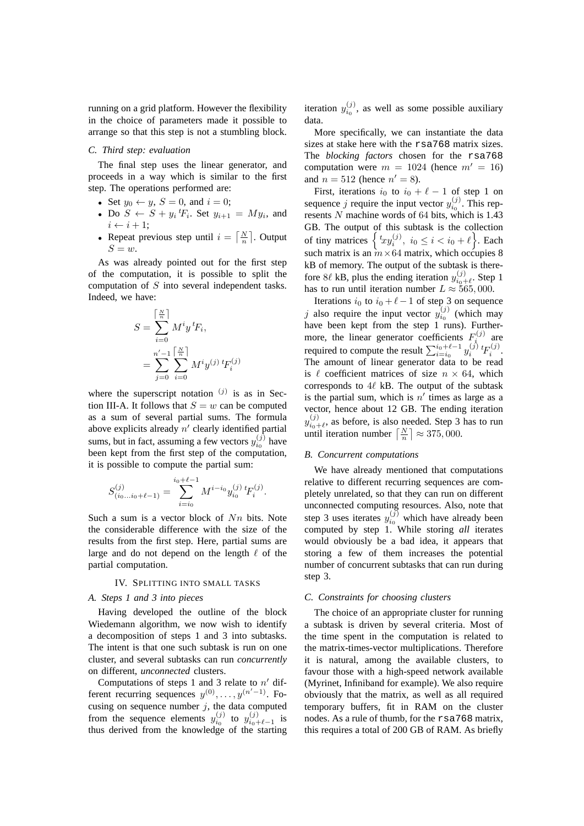running on a grid platform. However the flexibility in the choice of parameters made it possible to arrange so that this step is not a stumbling block.

#### *C. Third step: evaluation*

The final step uses the linear generator, and proceeds in a way which is similar to the first step. The operations performed are:

- Set  $y_0 \leftarrow y$ ,  $S = 0$ , and  $i = 0$ ;
- Do  $S \leftarrow S + y_i \, {}^t\!F_i$ . Set  $y_{i+1} = My_i$ , and  $i \leftarrow i + 1;$
- Repeat previous step until  $i = \lceil \frac{N}{n} \rceil$ . Output  $S = w$ .

As was already pointed out for the first step of the computation, it is possible to split the computation of S into several independent tasks. Indeed, we have:

$$
S = \sum_{i=0}^{\lceil \frac{N}{n} \rceil} M^i y^i F_i,
$$
  
= 
$$
\sum_{j=0}^{n'-1} \sum_{i=0}^{\lceil \frac{N}{n} \rceil} M^i y^{(j)} f_i^{(j)}
$$

where the superscript notation  $(j)$  is as in Section III-A. It follows that  $S = w$  can be computed as a sum of several partial sums. The formula above explicits already  $n'$  clearly identified partial sums, but in fact, assuming a few vectors  $y_{i_0}^{(j)}$  have been kept from the first step of the computation, it is possible to compute the partial sum:

$$
S_{(i_0...i_0+\ell-1)}^{(j)} = \sum_{i=i_0}^{i_0+\ell-1} M^{i-i_0} y_{i_0}^{(j)} {}^t F_i^{(j)}.
$$

Such a sum is a vector block of  $Nn$  bits. Note the considerable difference with the size of the results from the first step. Here, partial sums are large and do not depend on the length  $\ell$  of the partial computation.

## IV. SPLITTING INTO SMALL TASKS

# *A. Steps 1 and 3 into pieces*

Having developed the outline of the block Wiedemann algorithm, we now wish to identify a decomposition of steps 1 and 3 into subtasks. The intent is that one such subtask is run on one cluster, and several subtasks can run *concurrently* on different, *unconnected* clusters.

Computations of steps 1 and 3 relate to  $n'$  different recurring sequences  $y^{(0)}, \ldots, y^{(n'-1)}$ . Focusing on sequence number  $j$ , the data computed from the sequence elements  $y_{i_0}^{(j)}$  to  $y_{i_0+\ell-1}^{(j)}$  is thus derived from the knowledge of the starting

iteration  $y_{i_0}^{(j)}$ , as well as some possible auxiliary data.

More specifically, we can instantiate the data sizes at stake here with the rsa768 matrix sizes. The *blocking factors* chosen for the rsa768 computation were  $m = 1024$  (hence  $m' = 16$ ) and  $n = 512$  (hence  $n' = 8$ ).

First, iterations  $i_0$  to  $i_0 + \ell - 1$  of step 1 on sequence j require the input vector  $y_{i_0}^{(j)}$ . This represents  $N$  machine words of 64 bits, which is 1.43 GB. The output of this subtask is the collection of tiny matrices  $\left\{ \left. ^{t}xy_{i}^{\left( j\right) },\right. i_{0}\leq i< i_{0}+\ell\right\}$ . Each such matrix is an  $m \times 64$  matrix, which occupies 8 kB of memory. The output of the subtask is therefore 8 $\ell$  kB, plus the ending iteration  $y_{i_{0}}^{(j)}$  $t_{i_0+\ell}^{(J)}$ . Step 1 has to run until iteration number  $L \approx 565,000$ .

Iterations  $i_0$  to  $i_0 + \ell - 1$  of step 3 on sequence j also require the input vector  $y_{i_0}^{(j)}$  (which may have been kept from the step 1 runs). Furthermore, the linear generator coefficients  $F_i^{(j)}$  are if the result  $\sum_{i=i_0}^{i_0+l-1} y_i^{(j)} t F_i^{(j)}$ . The amount of linear generator data to be read is  $\ell$  coefficient matrices of size  $n \times 64$ , which corresponds to  $4\ell$  kB. The output of the subtask is the partial sum, which is  $n'$  times as large as a vector, hence about 12 GB. The ending iteration  $y_{i_0}^{(j)}$  $\sum_{i_0+\ell}^{(J)}$ , as before, is also needed. Step 3 has to run until iteration number  $\left\lceil \frac{N}{n} \right\rceil \approx 375,000$ .

#### *B. Concurrent computations*

We have already mentioned that computations relative to different recurring sequences are completely unrelated, so that they can run on different unconnected computing resources. Also, note that step 3 uses iterates  $y_{i_0}^{(j)}$  which have already been computed by step 1. While storing *all* iterates would obviously be a bad idea, it appears that storing a few of them increases the potential number of concurrent subtasks that can run during step 3.

#### *C. Constraints for choosing clusters*

The choice of an appropriate cluster for running a subtask is driven by several criteria. Most of the time spent in the computation is related to the matrix-times-vector multiplications. Therefore it is natural, among the available clusters, to favour those with a high-speed network available (Myrinet, Infiniband for example). We also require obviously that the matrix, as well as all required temporary buffers, fit in RAM on the cluster nodes. As a rule of thumb, for the rsa768 matrix, this requires a total of 200 GB of RAM. As briefly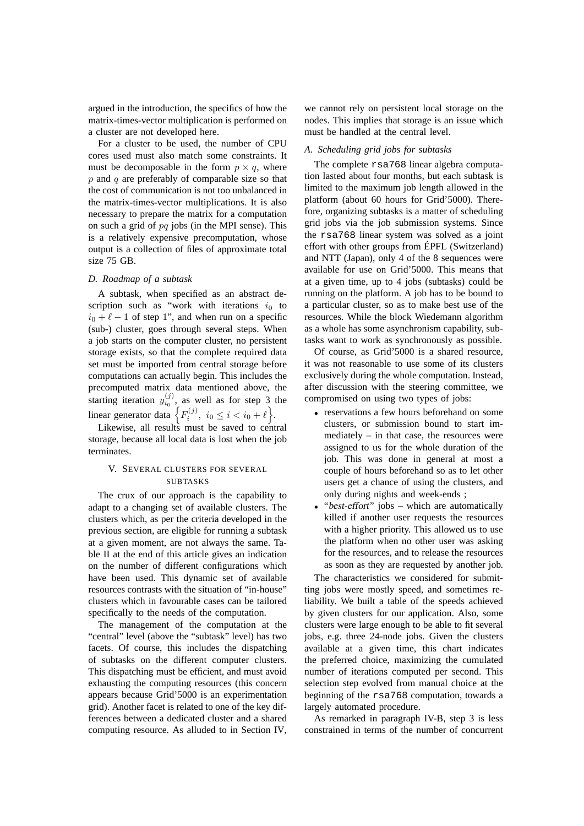argued in the introduction, the specifics of how the matrix-times-vector multiplication is performed on a cluster are not developed here.

For a cluster to be used, the number of CPU cores used must also match some constraints. It must be decomposable in the form  $p \times q$ , where  $p$  and  $q$  are preferably of comparable size so that the cost of communication is not too unbalanced in the matrix-times-vector multiplications. It is also necessary to prepare the matrix for a computation on such a grid of  $pq$  jobs (in the MPI sense). This is a relatively expensive precomputation, whose output is a collection of files of approximate total size 75 GB.

## *D. Roadmap of a subtask*

A subtask, when specified as an abstract description such as "work with iterations  $i_0$  to  $i_0 + \ell - 1$  of step 1", and when run on a specific (sub-) cluster, goes through several steps. When a job starts on the computer cluster, no persistent storage exists, so that the complete required data set must be imported from central storage before computations can actually begin. This includes the precomputed matrix data mentioned above, the starting iteration  $y_{i_0}^{(j)}$ , as well as for step 3 the linear generator data  $\left\{ F_i^{(j)}, i_0 \le i < i_0 + \ell \right\}$ .

Likewise, all results must be saved to central storage, because all local data is lost when the job terminates.

# V. SEVERAL CLUSTERS FOR SEVERAL SUBTASKS

The crux of our approach is the capability to adapt to a changing set of available clusters. The clusters which, as per the criteria developed in the previous section, are eligible for running a subtask at a given moment, are not always the same. Table II at the end of this article gives an indication on the number of different configurations which have been used. This dynamic set of available resources contrasts with the situation of "in-house" clusters which in favourable cases can be tailored specifically to the needs of the computation.

The management of the computation at the "central" level (above the "subtask" level) has two facets. Of course, this includes the dispatching of subtasks on the different computer clusters. This dispatching must be efficient, and must avoid exhausting the computing resources (this concern appears because Grid'5000 is an experimentation grid). Another facet is related to one of the key differences between a dedicated cluster and a shared computing resource. As alluded to in Section IV,

we cannot rely on persistent local storage on the nodes. This implies that storage is an issue which must be handled at the central level.

## *A. Scheduling grid jobs for subtasks*

The complete rsa768 linear algebra computation lasted about four months, but each subtask is limited to the maximum job length allowed in the platform (about 60 hours for Grid'5000). Therefore, organizing subtasks is a matter of scheduling grid jobs via the job submission systems. Since the rsa768 linear system was solved as a joint effort with other groups from ÉPFL (Switzerland) and NTT (Japan), only 4 of the 8 sequences were available for use on Grid'5000. This means that at a given time, up to 4 jobs (subtasks) could be running on the platform. A job has to be bound to a particular cluster, so as to make best use of the resources. While the block Wiedemann algorithm as a whole has some asynchronism capability, subtasks want to work as synchronously as possible.

Of course, as Grid'5000 is a shared resource, it was not reasonable to use some of its clusters exclusively during the whole computation. Instead, after discussion with the steering committee, we compromised on using two types of jobs:

- reservations a few hours beforehand on some clusters, or submission bound to start immediately – in that case, the resources were assigned to us for the whole duration of the job. This was done in general at most a couple of hours beforehand so as to let other users get a chance of using the clusters, and only during nights and week-ends ;
- "best-effort" jobs which are automatically killed if another user requests the resources with a higher priority. This allowed us to use the platform when no other user was asking for the resources, and to release the resources as soon as they are requested by another job.

The characteristics we considered for submitting jobs were mostly speed, and sometimes reliability. We built a table of the speeds achieved by given clusters for our application. Also, some clusters were large enough to be able to fit several jobs, e.g. three 24-node jobs. Given the clusters available at a given time, this chart indicates the preferred choice, maximizing the cumulated number of iterations computed per second. This selection step evolved from manual choice at the beginning of the rsa768 computation, towards a largely automated procedure.

As remarked in paragraph IV-B, step 3 is less constrained in terms of the number of concurrent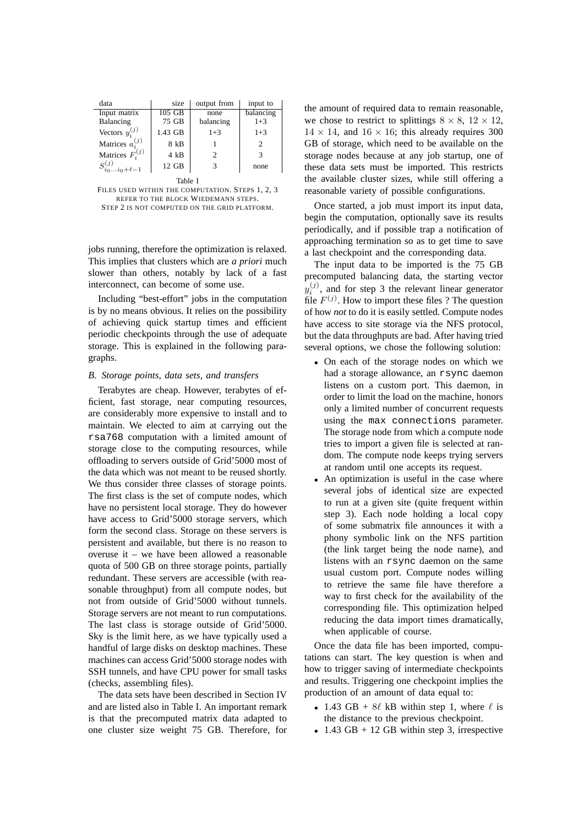| data                      | size    | output from | input to  |  |  |
|---------------------------|---------|-------------|-----------|--|--|
| Input matrix              | 105 GB  | none        | balancing |  |  |
| Balancing                 | 75 GB   | balancing   | $1 + 3$   |  |  |
| Vectors $y_i^{(j)}$       | 1.43 GB | $1 + 3$     | $1 + 3$   |  |  |
| Matrices $a_i^{(j)}$      | 8 kB    |             | 2         |  |  |
| Matrices $F_i^{(j)}$      | 4 kB    | 2           | 3         |  |  |
| $S_{i_0i_0+\ell-1}^{(j)}$ | 12 GB   | 3           | none      |  |  |

Table I

FILES USED WITHIN THE COMPUTATION. STEPS 1, 2, 3 REFER TO THE BLOCK WIEDEMANN STEPS. STEP 2 IS NOT COMPUTED ON THE GRID PLATFORM.

jobs running, therefore the optimization is relaxed. This implies that clusters which are *a priori* much slower than others, notably by lack of a fast interconnect, can become of some use.

Including "best-effort" jobs in the computation is by no means obvious. It relies on the possibility of achieving quick startup times and efficient periodic checkpoints through the use of adequate storage. This is explained in the following paragraphs.

#### *B. Storage points, data sets, and transfers*

Terabytes are cheap. However, terabytes of efficient, fast storage, near computing resources, are considerably more expensive to install and to maintain. We elected to aim at carrying out the rsa768 computation with a limited amount of storage close to the computing resources, while offloading to servers outside of Grid'5000 most of the data which was not meant to be reused shortly. We thus consider three classes of storage points. The first class is the set of compute nodes, which have no persistent local storage. They do however have access to Grid'5000 storage servers, which form the second class. Storage on these servers is persistent and available, but there is no reason to overuse it – we have been allowed a reasonable quota of 500 GB on three storage points, partially redundant. These servers are accessible (with reasonable throughput) from all compute nodes, but not from outside of Grid'5000 without tunnels. Storage servers are not meant to run computations. The last class is storage outside of Grid'5000. Sky is the limit here, as we have typically used a handful of large disks on desktop machines. These machines can access Grid'5000 storage nodes with SSH tunnels, and have CPU power for small tasks (checks, assembling files).

The data sets have been described in Section IV and are listed also in Table I. An important remark is that the precomputed matrix data adapted to one cluster size weight 75 GB. Therefore, for the amount of required data to remain reasonable, we chose to restrict to splittings  $8 \times 8$ ,  $12 \times 12$ ,  $14 \times 14$ , and  $16 \times 16$ ; this already requires 300 GB of storage, which need to be available on the storage nodes because at any job startup, one of these data sets must be imported. This restricts the available cluster sizes, while still offering a reasonable variety of possible configurations.

Once started, a job must import its input data, begin the computation, optionally save its results periodically, and if possible trap a notification of approaching termination so as to get time to save a last checkpoint and the corresponding data.

The input data to be imported is the 75 GB precomputed balancing data, the starting vector  $y_i^{(j)}$ , and for step 3 the relevant linear generator file  $F^{(j)}$ . How to import these files ? The question of how *not* to do it is easily settled. Compute nodes have access to site storage via the NFS protocol, but the data throughputs are bad. After having tried several options, we chose the following solution:

- On each of the storage nodes on which we had a storage allowance, an rsync daemon listens on a custom port. This daemon, in order to limit the load on the machine, honors only a limited number of concurrent requests using the max connections parameter. The storage node from which a compute node tries to import a given file is selected at random. The compute node keeps trying servers at random until one accepts its request.
- An optimization is useful in the case where several jobs of identical size are expected to run at a given site (quite frequent within step 3). Each node holding a local copy of some submatrix file announces it with a phony symbolic link on the NFS partition (the link target being the node name), and listens with an rsync daemon on the same usual custom port. Compute nodes willing to retrieve the same file have therefore a way to first check for the availability of the corresponding file. This optimization helped reducing the data import times dramatically, when applicable of course.

Once the data file has been imported, computations can start. The key question is when and how to trigger saving of intermediate checkpoints and results. Triggering one checkpoint implies the production of an amount of data equal to:

- 1.43 GB +  $8\ell$  kB within step 1, where  $\ell$  is the distance to the previous checkpoint.
- 1.43 GB + 12 GB within step 3, irrespective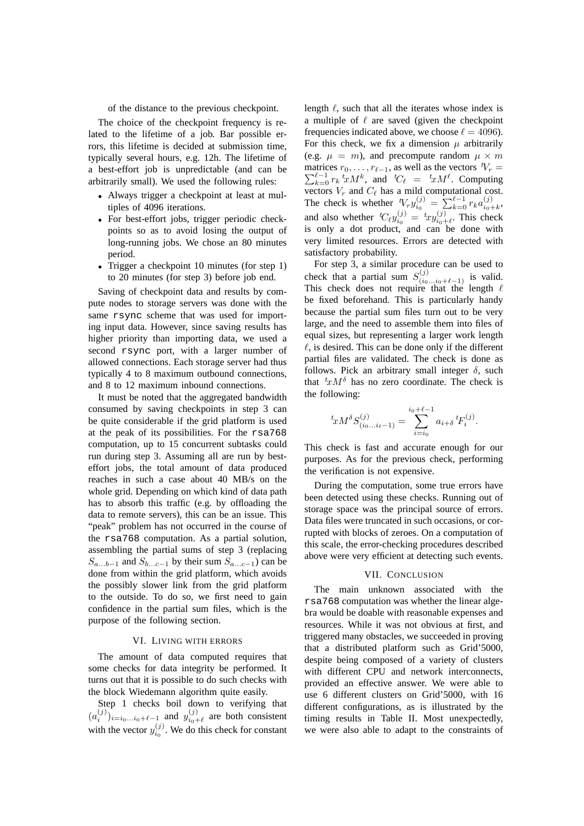of the distance to the previous checkpoint.

The choice of the checkpoint frequency is related to the lifetime of a job. Bar possible errors, this lifetime is decided at submission time, typically several hours, e.g. 12h. The lifetime of a best-effort job is unpredictable (and can be arbitrarily small). We used the following rules:

- Always trigger a checkpoint at least at multiples of 4096 iterations.
- For best-effort jobs, trigger periodic checkpoints so as to avoid losing the output of long-running jobs. We chose an 80 minutes period.
- Trigger a checkpoint 10 minutes (for step 1) to 20 minutes (for step 3) before job end.

Saving of checkpoint data and results by compute nodes to storage servers was done with the same rsync scheme that was used for importing input data. However, since saving results has higher priority than importing data, we used a second rsync port, with a larger number of allowed connections. Each storage server had thus typically 4 to 8 maximum outbound connections, and 8 to 12 maximum inbound connections.

It must be noted that the aggregated bandwidth consumed by saving checkpoints in step 3 can be quite considerable if the grid platform is used at the peak of its possibilities. For the rsa768 computation, up to 15 concurrent subtasks could run during step 3. Assuming all are run by besteffort jobs, the total amount of data produced reaches in such a case about 40 MB/s on the whole grid. Depending on which kind of data path has to absorb this traffic (e.g. by offloading the data to remote servers), this can be an issue. This "peak" problem has not occurred in the course of the rsa768 computation. As a partial solution, assembling the partial sums of step 3 (replacing  $S_{a...b-1}$  and  $S_{b...c-1}$  by their sum  $S_{a...c-1}$ ) can be done from within the grid platform, which avoids the possibly slower link from the grid platform to the outside. To do so, we first need to gain confidence in the partial sum files, which is the purpose of the following section.

#### VI. LIVING WITH ERRORS

The amount of data computed requires that some checks for data integrity be performed. It turns out that it is possible to do such checks with the block Wiedemann algorithm quite easily.

Step 1 checks boil down to verifying that  $(a_i^{(j)})_{i=i_0...i_0+\ell-1}$  and  $y_{i_0+}^{(j)}$  $\psi_{i_0+\ell}^{(J)}$  are both consistent with the vector  $y_{i_0}^{(j)}$ . We do this check for constant

length  $\ell$ , such that all the iterates whose index is a multiple of  $\ell$  are saved (given the checkpoint frequencies indicated above, we choose  $\ell = 4096$ ). For this check, we fix a dimension  $\mu$  arbitrarily (e.g.  $\mu = m$ ), and precompute random  $\mu \times m$ matrices  $r_0, \ldots, r_{\ell-1}$ , as well as the vectors  $tV_r =$  $\sum_{k=0}^{\ell-1} r_k \, {}^t x M^k$ , and  ${}^t C_\ell = {}^t x M^\ell$ . Computing vectors  $V_r$  and  $C_\ell$  has a mild computational cost. The check is whether  ${}^tV_r y_{i_0}^{(j)} = \sum_{k=0}^{j-1} r_k a_{i_0}^{(j)}$  $\binom{(J)}{i_0+k}$ and also whether  ${}^tC_\ell y_{i_0}^{(j)} = {}^txy_{i_0}^{(j)}$  $\chi_{i_0+\ell}^{(J)}$ . This check is only a dot product, and can be done with very limited resources. Errors are detected with satisfactory probability.

For step 3, a similar procedure can be used to check that a partial sum  $S_{(i_0...i_0+\ell-1)}^{(j)}$  is valid. This check does not require that the length  $\ell$ be fixed beforehand. This is particularly handy because the partial sum files turn out to be very large, and the need to assemble them into files of equal sizes, but representing a larger work length  $\ell$ , is desired. This can be done only if the different partial files are validated. The check is done as follows. Pick an arbitrary small integer  $\delta$ , such that  ${}^t x M^{\delta}$  has no zero coordinate. The check is the following:

$$
{}^{t}xM^{\delta}S_{(i_{0}...i_{\ell}-1)}^{(j)} = \sum_{i=i_{0}}^{i_{0}+\ell-1} a_{i+\delta} {}^{t}F_{i}^{(j)}.
$$

This check is fast and accurate enough for our purposes. As for the previous check, performing the verification is not expensive.

During the computation, some true errors have been detected using these checks. Running out of storage space was the principal source of errors. Data files were truncated in such occasions, or corrupted with blocks of zeroes. On a computation of this scale, the error-checking procedures described above were very efficient at detecting such events.

## VII. CONCLUSION

The main unknown associated with the rsa768 computation was whether the linear algebra would be doable with reasonable expenses and resources. While it was not obvious at first, and triggered many obstacles, we succeeded in proving that a distributed platform such as Grid'5000, despite being composed of a variety of clusters with different CPU and network interconnects, provided an effective answer. We were able to use 6 different clusters on Grid'5000, with 16 different configurations, as is illustrated by the timing results in Table II. Most unexpectedly, we were also able to adapt to the constraints of